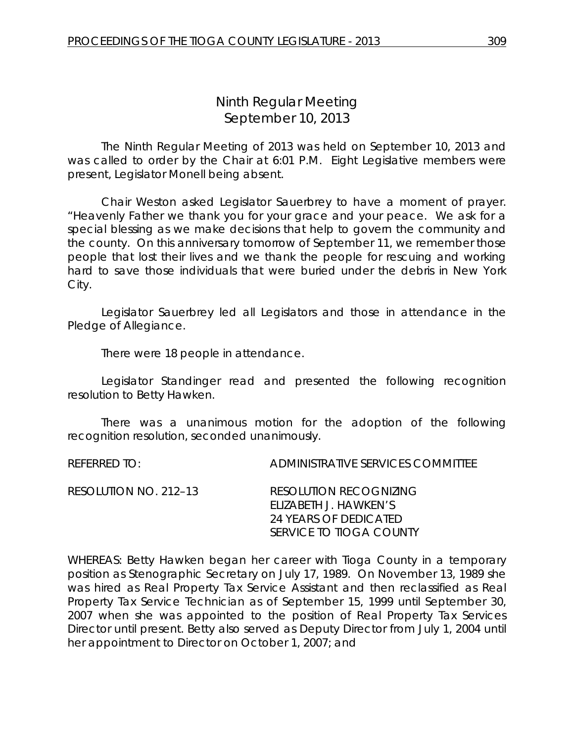# *Ninth Regular Meeting* September 10, 2013

The Ninth Regular Meeting of 2013 was held on September 10, 2013 and was called to order by the Chair at 6:01 P.M. Eight Legislative members were present, Legislator Monell being absent.

Chair Weston asked Legislator Sauerbrey to have a moment of prayer. "Heavenly Father we thank you for your grace and your peace. We ask for a special blessing as we make decisions that help to govern the community and the county. On this anniversary tomorrow of September 11, we remember those people that lost their lives and we thank the people for rescuing and working hard to save those individuals that were buried under the debris in New York City.

Legislator Sauerbrey led all Legislators and those in attendance in the Pledge of Allegiance.

There were 18 people in attendance.

Legislator Standinger read and presented the following recognition resolution to Betty Hawken.

There was a unanimous motion for the adoption of the following recognition resolution, seconded unanimously.

REFERRED TO: ADMINISTRATIVE SERVICES COMMITTEE

| RESOLUTION NO. 212–13 | RESOLUTION RECOGNIZING         |
|-----------------------|--------------------------------|
|                       | FUZABETH J. HAWKEN'S           |
|                       | 24 YEARS OF DEDICATED          |
|                       | <i>SERVICE TO TIOGA COUNTY</i> |

WHEREAS: Betty Hawken began her career with Tioga County in a temporary position as Stenographic Secretary on July 17, 1989. On November 13, 1989 she was hired as Real Property Tax Service Assistant and then reclassified as Real Property Tax Service Technician as of September 15, 1999 until September 30, 2007 when she was appointed to the position of Real Property Tax Services Director until present. Betty also served as Deputy Director from July 1, 2004 until her appointment to Director on October 1, 2007; and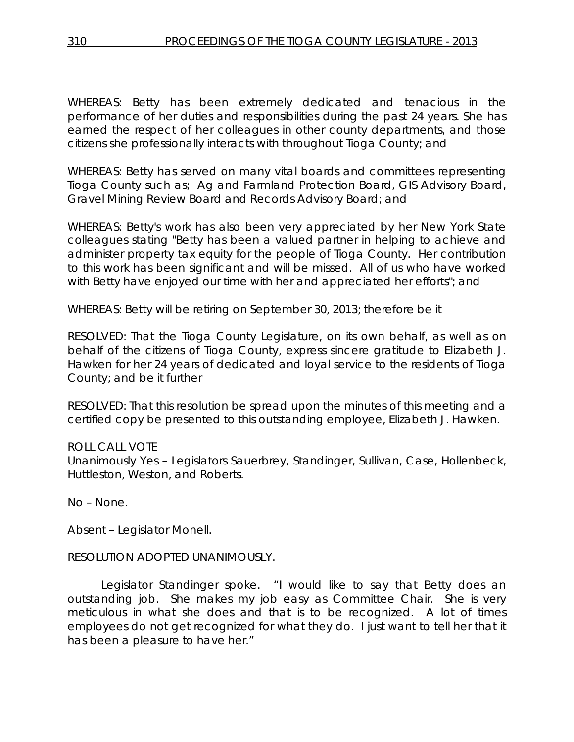WHEREAS: Betty has been extremely dedicated and tenacious in the performance of her duties and responsibilities during the past 24 years. She has earned the respect of her colleagues in other county departments, and those citizens she professionally interacts with throughout Tioga County; and

WHEREAS: Betty has served on many vital boards and committees representing Tioga County such as; Ag and Farmland Protection Board, GIS Advisory Board, Gravel Mining Review Board and Records Advisory Board; and

WHEREAS: Betty's work has also been very appreciated by her New York State colleagues stating "Betty has been a valued partner in helping to achieve and administer property tax equity for the people of Tioga County. Her contribution to this work has been significant and will be missed. All of us who have worked with Betty have enjoyed our time with her and appreciated her efforts"; and

WHEREAS: Betty will be retiring on September 30, 2013; therefore be it

RESOLVED: That the Tioga County Legislature, on its own behalf, as well as on behalf of the citizens of Tioga County, express sincere gratitude to Elizabeth J. Hawken for her 24 years of dedicated and loyal service to the residents of Tioga County; and be it further

RESOLVED: That this resolution be spread upon the minutes of this meeting and a certified copy be presented to this outstanding employee, Elizabeth J. Hawken.

# ROLL CALL VOTE

Unanimously Yes – Legislators Sauerbrey, Standinger, Sullivan, Case, Hollenbeck, Huttleston, Weston, and Roberts.

No – None.

Absent – Legislator Monell.

### RESOLUTION ADOPTED UNANIMOUSLY.

Legislator Standinger spoke. "I would like to say that Betty does an outstanding job. She makes my job easy as Committee Chair. She is very meticulous in what she does and that is to be recognized. A lot of times employees do not get recognized for what they do. I just want to tell her that it has been a pleasure to have her."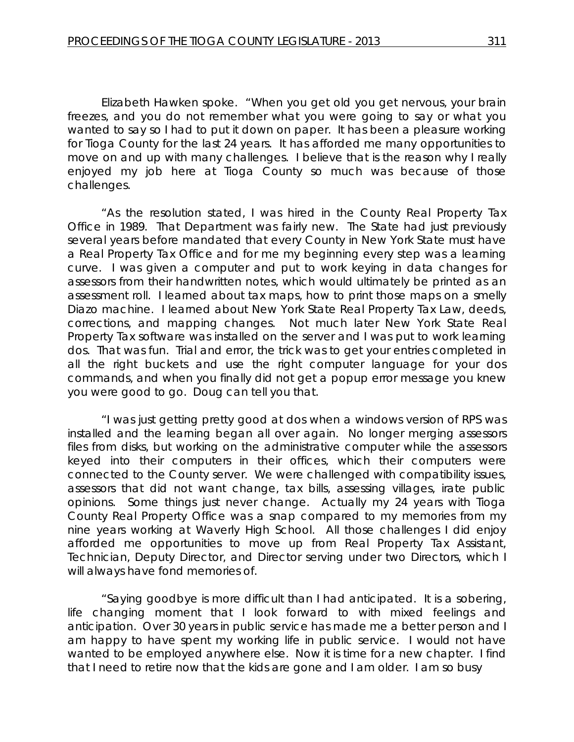Elizabeth Hawken spoke. "When you get old you get nervous, your brain freezes, and you do not remember what you were going to say or what you wanted to say so I had to put it down on paper. It has been a pleasure working for Tioga County for the last 24 years. It has afforded me many opportunities to move on and up with many challenges. I believe that is the reason why I really enjoyed my job here at Tioga County so much was because of those challenges.

"As the resolution stated, I was hired in the County Real Property Tax Office in 1989. That Department was fairly new. The State had just previously several years before mandated that every County in New York State must have a Real Property Tax Office and for me my beginning every step was a learning curve. I was given a computer and put to work keying in data changes for assessors from their handwritten notes, which would ultimately be printed as an assessment roll. I learned about tax maps, how to print those maps on a smelly Diazo machine. I learned about New York State Real Property Tax Law, deeds, corrections, and mapping changes. Not much later New York State Real Property Tax software was installed on the server and I was put to work learning dos. That was fun. Trial and error, the trick was to get your entries completed in all the right buckets and use the right computer language for your dos commands, and when you finally did not get a popup error message you knew you were good to go. Doug can tell you that.

"I was just getting pretty good at dos when a windows version of RPS was installed and the learning began all over again. No longer merging assessors files from disks, but working on the administrative computer while the assessors keyed into their computers in their offices, which their computers were connected to the County server. We were challenged with compatibility issues, assessors that did not want change, tax bills, assessing villages, irate public opinions. Some things just never change. Actually my 24 years with Tioga County Real Property Office was a snap compared to my memories from my nine years working at Waverly High School. All those challenges I did enjoy afforded me opportunities to move up from Real Property Tax Assistant, Technician, Deputy Director, and Director serving under two Directors, which I will always have fond memories of.

"Saying goodbye is more difficult than I had anticipated. It is a sobering, life changing moment that I look forward to with mixed feelings and anticipation. Over 30 years in public service has made me a better person and I am happy to have spent my working life in public service. I would not have wanted to be employed anywhere else. Now it is time for a new chapter. I find that I need to retire now that the kids are gone and I am older. I am so busy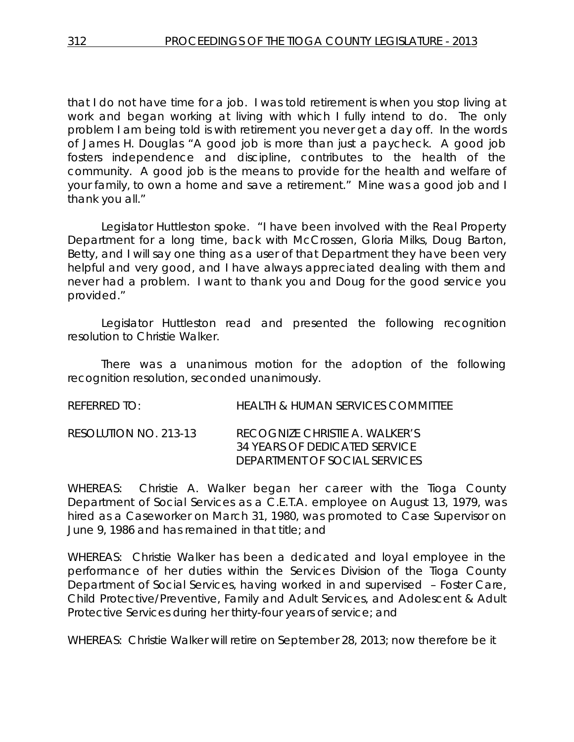that I do not have time for a job. I was told retirement is when you stop living at work and began working at living with which I fully intend to do. The only problem I am being told is with retirement you never get a day off. In the words of James H. Douglas "A good job is more than just a paycheck. A good job fosters independence and discipline, contributes to the health of the community. A good job is the means to provide for the health and welfare of your family, to own a home and save a retirement." Mine was a good job and I thank you all."

Legislator Huttleston spoke. "I have been involved with the Real Property Department for a long time, back with McCrossen, Gloria Milks, Doug Barton, Betty, and I will say one thing as a user of that Department they have been very helpful and very good, and I have always appreciated dealing with them and never had a problem. I want to thank you and Doug for the good service you provided."

Legislator Huttleston read and presented the following recognition resolution to Christie Walker.

There was a unanimous motion for the adoption of the following recognition resolution, seconded unanimously.

| referred to:          | HEALTH & HUMAN SERVICES COMMITTEE                                                                |
|-----------------------|--------------------------------------------------------------------------------------------------|
| RESOLUTION NO. 213-13 | RECOGNIZE CHRISTIE A. WALKER'S<br>34 YEARS OF DEDICATED SERVICE<br>DEPARTMENT OF SOCIAL SERVICES |

WHEREAS: Christie A. Walker began her career with the Tioga County Department of Social Services as a C.E.T.A. employee on August 13, 1979, was hired as a Caseworker on March 31, 1980, was promoted to Case Supervisor on June 9, 1986 and has remained in that title; and

WHEREAS: Christie Walker has been a dedicated and loyal employee in the performance of her duties within the Services Division of the Tioga County Department of Social Services, having worked in and supervised – Foster Care, Child Protective/Preventive, Family and Adult Services, and Adolescent & Adult Protective Services during her thirty-four years of service; and

WHEREAS: Christie Walker will retire on September 28, 2013; now therefore be it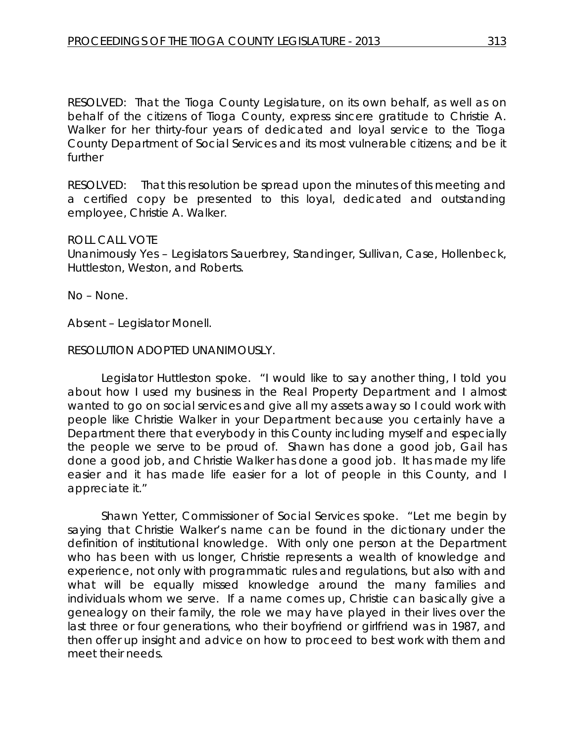RESOLVED:That the Tioga County Legislature, on its own behalf, as well as on behalf of the citizens of Tioga County, express sincere gratitude to Christie A. Walker for her thirty-four years of dedicated and loyal service to the Tioga County Department of Social Services and its most vulnerable citizens; and be it further

RESOLVED: That this resolution be spread upon the minutes of this meeting and a certified copy be presented to this loyal, dedicated and outstanding employee, Christie A. Walker.

#### ROLL CALL VOTE

Unanimously Yes – Legislators Sauerbrey, Standinger, Sullivan, Case, Hollenbeck, Huttleston, Weston, and Roberts.

No – None.

Absent – Legislator Monell.

#### RESOLUTION ADOPTED UNANIMOUSLY.

Legislator Huttleston spoke. "I would like to say another thing, I told you about how I used my business in the Real Property Department and I almost wanted to go on social services and give all my assets away so I could work with people like Christie Walker in your Department because you certainly have a Department there that everybody in this County including myself and especially the people we serve to be proud of. Shawn has done a good job, Gail has done a good job, and Christie Walker has done a good job. It has made my life easier and it has made life easier for a lot of people in this County, and I appreciate it."

Shawn Yetter, Commissioner of Social Services spoke. "Let me begin by saying that Christie Walker's name can be found in the dictionary under the definition of institutional knowledge. With only one person at the Department who has been with us longer, Christie represents a wealth of knowledge and experience, not only with programmatic rules and regulations, but also with and what will be equally missed knowledge around the many families and individuals whom we serve. If a name comes up, Christie can basically give a genealogy on their family, the role we may have played in their lives over the last three or four generations, who their boyfriend or girlfriend was in 1987, and then offer up insight and advice on how to proceed to best work with them and meet their needs.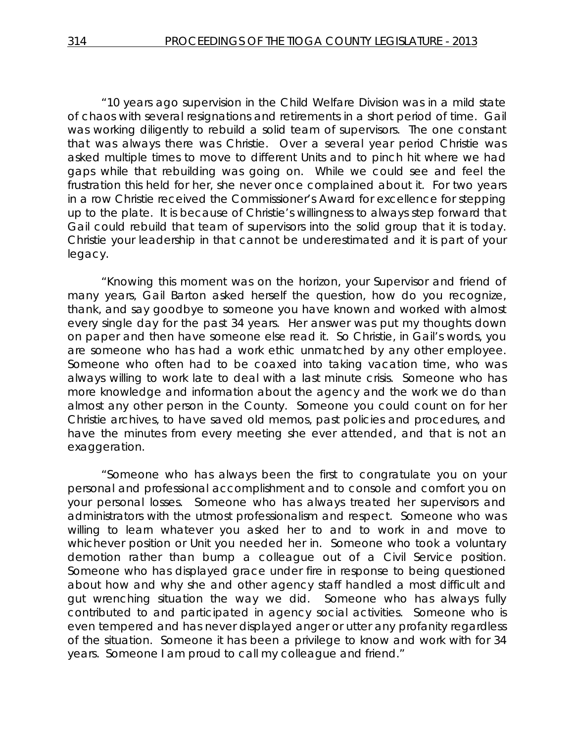"10 years ago supervision in the Child Welfare Division was in a mild state of chaos with several resignations and retirements in a short period of time. Gail was working diligently to rebuild a solid team of supervisors. The one constant that was always there was Christie. Over a several year period Christie was asked multiple times to move to different Units and to pinch hit where we had gaps while that rebuilding was going on. While we could see and feel the frustration this held for her, she never once complained about it. For two years in a row Christie received the Commissioner's Award for excellence for stepping up to the plate. It is because of Christie's willingness to always step forward that Gail could rebuild that team of supervisors into the solid group that it is today. Christie your leadership in that cannot be underestimated and it is part of your legacy.

"Knowing this moment was on the horizon, your Supervisor and friend of many years, Gail Barton asked herself the question, how do you recognize, thank, and say goodbye to someone you have known and worked with almost every single day for the past 34 years. Her answer was put my thoughts down on paper and then have someone else read it. So Christie, in Gail's words, you are someone who has had a work ethic unmatched by any other employee. Someone who often had to be coaxed into taking vacation time, who was always willing to work late to deal with a last minute crisis. Someone who has more knowledge and information about the agency and the work we do than almost any other person in the County. Someone you could count on for her Christie archives, to have saved old memos, past policies and procedures, and have the minutes from every meeting she ever attended, and that is not an exaggeration.

"Someone who has always been the first to congratulate you on your personal and professional accomplishment and to console and comfort you on your personal losses. Someone who has always treated her supervisors and administrators with the utmost professionalism and respect. Someone who was willing to learn whatever you asked her to and to work in and move to whichever position or Unit you needed her in. Someone who took a voluntary demotion rather than bump a colleague out of a Civil Service position. Someone who has displayed grace under fire in response to being questioned about how and why she and other agency staff handled a most difficult and gut wrenching situation the way we did. Someone who has always fully contributed to and participated in agency social activities. Someone who is even tempered and has never displayed anger or utter any profanity regardless of the situation. Someone it has been a privilege to know and work with for 34 years. Someone I am proud to call my colleague and friend."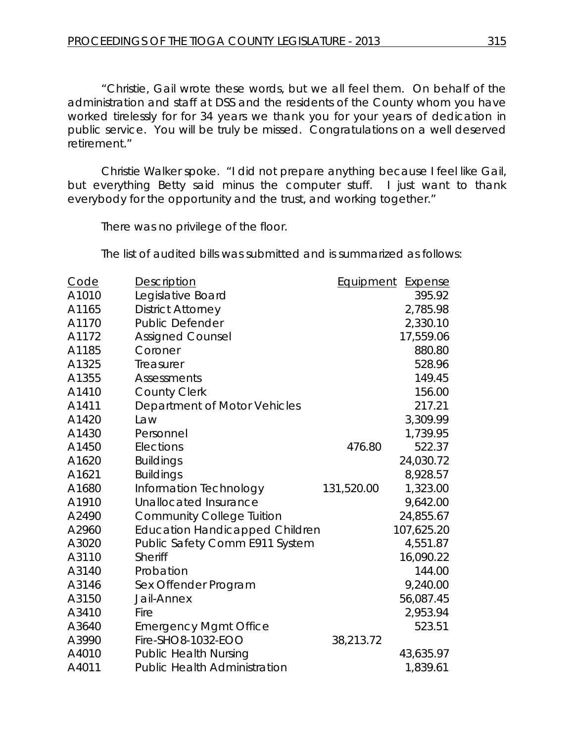"Christie, Gail wrote these words, but we all feel them. On behalf of the administration and staff at DSS and the residents of the County whom you have worked tirelessly for for 34 years we thank you for your years of dedication in public service. You will be truly be missed. Congratulations on a well deserved retirement."

Christie Walker spoke. "I did not prepare anything because I feel like Gail, but everything Betty said minus the computer stuff. I just want to thank everybody for the opportunity and the trust, and working together."

There was no privilege of the floor.

The list of audited bills was submitted and is summarized as follows:

| Code  | <b>Description</b>                    | <b>Equipment</b> | <b>Expense</b> |
|-------|---------------------------------------|------------------|----------------|
| A1010 | Legislative Board                     |                  | 395.92         |
| A1165 | <b>District Attorney</b>              |                  | 2,785.98       |
| A1170 | <b>Public Defender</b>                |                  | 2,330.10       |
| A1172 | <b>Assigned Counsel</b>               |                  | 17,559.06      |
| A1185 | Coroner                               |                  | 880.80         |
| A1325 | Treasurer                             |                  | 528.96         |
| A1355 | <b>Assessments</b>                    |                  | 149.45         |
| A1410 | <b>County Clerk</b>                   |                  | 156.00         |
| A1411 | Department of Motor Vehicles          |                  | 217.21         |
| A1420 | Law                                   |                  | 3,309.99       |
| A1430 | Personnel                             |                  | 1,739.95       |
| A1450 | Elections                             | 476.80           | 522.37         |
| A1620 | <b>Buildings</b>                      |                  | 24,030.72      |
| A1621 | <b>Buildings</b>                      |                  | 8,928.57       |
| A1680 | Information Technology                | 131,520.00       | 1,323.00       |
| A1910 | Unallocated Insurance                 |                  | 9,642.00       |
| A2490 | <b>Community College Tuition</b>      |                  | 24,855.67      |
| A2960 | <b>Education Handicapped Children</b> |                  | 107,625.20     |
| A3020 | Public Safety Comm E911 System        |                  | 4,551.87       |
| A3110 | <b>Sheriff</b>                        |                  | 16,090.22      |
| A3140 | Probation                             |                  | 144.00         |
| A3146 | Sex Offender Program                  |                  | 9,240.00       |
| A3150 | Jail-Annex                            |                  | 56,087.45      |
| A3410 | Fire                                  |                  | 2,953.94       |
| A3640 | <b>Emergency Mgmt Office</b>          |                  | 523.51         |
| A3990 | Fire-SHO8-1032-EOO                    | 38,213.72        |                |
| A4010 | <b>Public Health Nursing</b>          |                  | 43,635.97      |
| A4011 | <b>Public Health Administration</b>   |                  | 1,839.61       |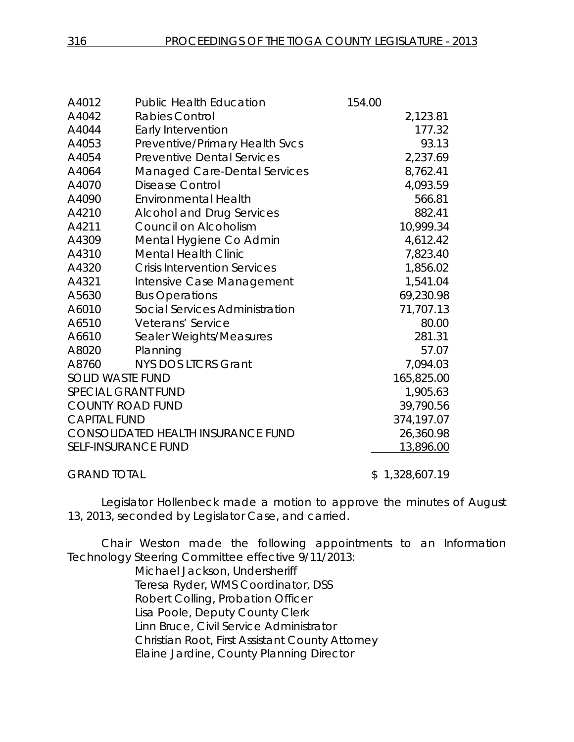| A4012               | <b>Public Health Education</b>            | 154.00 |            |
|---------------------|-------------------------------------------|--------|------------|
| A4042               | <b>Rabies Control</b>                     |        | 2,123.81   |
| A4044               | Early Intervention                        |        | 177.32     |
| A4053               | Preventive/Primary Health Svcs            |        | 93.13      |
| A4054               | <b>Preventive Dental Services</b>         |        | 2,237.69   |
| A4064               | <b>Managed Care-Dental Services</b>       |        | 8,762.41   |
| A4070               | <b>Disease Control</b>                    |        | 4,093.59   |
| A4090               | <b>Environmental Health</b>               |        | 566.81     |
| A4210               | <b>Alcohol and Drug Services</b>          |        | 882.41     |
| A4211               | Council on Alcoholism                     |        | 10,999.34  |
| A4309               | Mental Hygiene Co Admin                   |        | 4,612.42   |
| A4310               | <b>Mental Health Clinic</b>               |        | 7,823.40   |
| A4320               | <b>Crisis Intervention Services</b>       |        | 1,856.02   |
| A4321               | Intensive Case Management                 |        | 1,541.04   |
| A5630               | <b>Bus Operations</b>                     |        | 69,230.98  |
| A6010               | Social Services Administration            |        | 71,707.13  |
| A6510               | Veterans' Service                         |        | 80.00      |
| A6610               | Sealer Weights/Measures                   |        | 281.31     |
| A8020               | Planning                                  |        | 57.07      |
| A8760               | <b>NYS DOS LTCRS Grant</b>                |        | 7,094.03   |
|                     | <b>SOLID WASTE FUND</b>                   |        | 165,825.00 |
|                     | <b>SPECIAL GRANT FUND</b>                 |        | 1,905.63   |
|                     | <b>COUNTY ROAD FUND</b>                   |        | 39,790.56  |
| <b>CAPITAL FUND</b> |                                           |        | 374,197.07 |
|                     | <b>CONSOLIDATED HEALTH INSURANCE FUND</b> |        | 26,360.98  |
|                     | <b>SELF-INSURANCE FUND</b>                |        | 13,896.00  |
|                     |                                           |        |            |

GRAND TOTAL \$ 1,328,607.19

Legislator Hollenbeck made a motion to approve the minutes of August 13, 2013, seconded by Legislator Case, and carried.

Chair Weston made the following appointments to an Information Technology Steering Committee effective 9/11/2013:

> Michael Jackson, Undersheriff Teresa Ryder, WMS Coordinator, DSS Robert Colling, Probation Officer Lisa Poole, Deputy County Clerk Linn Bruce, Civil Service Administrator Christian Root, First Assistant County Attorney Elaine Jardine, County Planning Director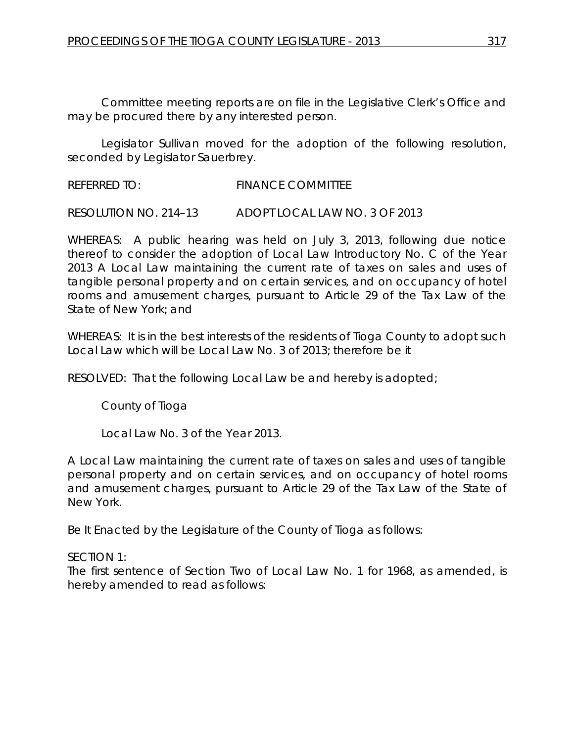Committee meeting reports are on file in the Legislative Clerk's Office and may be procured there by any interested person.

Legislator Sullivan moved for the adoption of the following resolution, seconded by Legislator Sauerbrey.

REFERRED TO: FINANCE COMMITTEE

RESOLUTION NO. 214–13 *ADOPT LOCAL LAW NO. 3 OF 2013*

WHEREAS: A public hearing was held on July 3, 2013, following due notice thereof to consider the adoption of Local Law Introductory No. C of the Year 2013 A Local Law maintaining the current rate of taxes on sales and uses of tangible personal property and on certain services, and on occupancy of hotel rooms and amusement charges, pursuant to Article 29 of the Tax Law of the State of New York; and

WHEREAS: It is in the best interests of the residents of Tioga County to adopt such Local Law which will be Local Law No. 3 of 2013; therefore be it

RESOLVED: That the following Local Law be and hereby is adopted;

County of Tioga

Local Law No. 3 of the Year 2013.

A Local Law maintaining the current rate of taxes on sales and uses of tangible personal property and on certain services, and on occupancy of hotel rooms and amusement charges, pursuant to Article 29 of the Tax Law of the State of New York.

Be It Enacted by the Legislature of the County of Tioga as follows:

SECTION 1:

The first sentence of Section Two of Local Law No. 1 for 1968, as amended, is hereby amended to read as follows: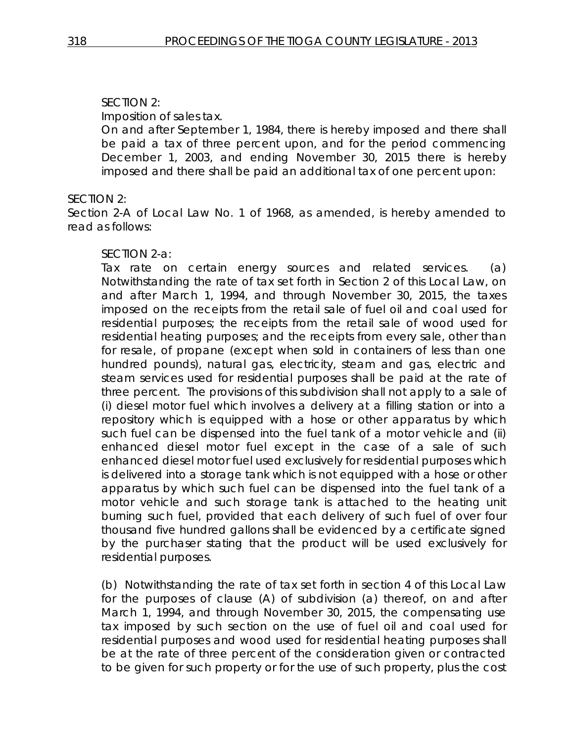# SECTION 2:

Imposition of sales tax.

On and after September 1, 1984, there is hereby imposed and there shall be paid a tax of three percent upon, and for the period commencing December 1, 2003, and ending November 30, 2015 there is hereby imposed and there shall be paid an additional tax of one percent upon:

### SECTION 2:

Section 2-A of Local Law No. 1 of 1968, as amended, is hereby amended to read as follows:

#### SECTION 2-a:

Tax rate on certain energy sources and related services. (a) Notwithstanding the rate of tax set forth in Section 2 of this Local Law, on and after March 1, 1994, and through November 30, 2015, the taxes imposed on the receipts from the retail sale of fuel oil and coal used for residential purposes; the receipts from the retail sale of wood used for residential heating purposes; and the receipts from every sale, other than for resale, of propane (except when sold in containers of less than one hundred pounds), natural gas, electricity, steam and gas, electric and steam services used for residential purposes shall be paid at the rate of three percent. The provisions of this subdivision shall not apply to a sale of (i) diesel motor fuel which involves a delivery at a filling station or into a repository which is equipped with a hose or other apparatus by which such fuel can be dispensed into the fuel tank of a motor vehicle and (ii) enhanced diesel motor fuel except in the case of a sale of such enhanced diesel motor fuel used exclusively for residential purposes which is delivered into a storage tank which is not equipped with a hose or other apparatus by which such fuel can be dispensed into the fuel tank of a motor vehicle and such storage tank is attached to the heating unit burning such fuel, provided that each delivery of such fuel of over four thousand five hundred gallons shall be evidenced by a certificate signed by the purchaser stating that the product will be used exclusively for residential purposes.

(b) Notwithstanding the rate of tax set forth in section 4 of this Local Law for the purposes of clause (A) of subdivision (a) thereof, on and after March 1, 1994, and through November 30, 2015, the compensating use tax imposed by such section on the use of fuel oil and coal used for residential purposes and wood used for residential heating purposes shall be at the rate of three percent of the consideration given or contracted to be given for such property or for the use of such property, plus the cost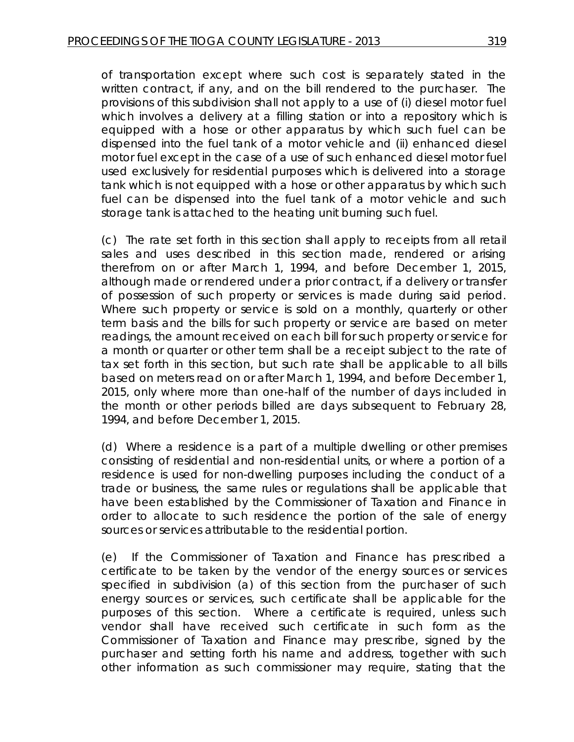of transportation except where such cost is separately stated in the written contract, if any, and on the bill rendered to the purchaser. The provisions of this subdivision shall not apply to a use of (i) diesel motor fuel which involves a delivery at a filling station or into a repository which is equipped with a hose or other apparatus by which such fuel can be dispensed into the fuel tank of a motor vehicle and (ii) enhanced diesel motor fuel except in the case of a use of such enhanced diesel motor fuel used exclusively for residential purposes which is delivered into a storage tank which is not equipped with a hose or other apparatus by which such fuel can be dispensed into the fuel tank of a motor vehicle and such storage tank is attached to the heating unit burning such fuel.

(c) The rate set forth in this section shall apply to receipts from all retail sales and uses described in this section made, rendered or arising therefrom on or after March 1, 1994, and before December 1, 2015, although made or rendered under a prior contract, if a delivery or transfer of possession of such property or services is made during said period. Where such property or service is sold on a monthly, quarterly or other term basis and the bills for such property or service are based on meter readings, the amount received on each bill for such property or service for a month or quarter or other term shall be a receipt subject to the rate of tax set forth in this section, but such rate shall be applicable to all bills based on meters read on or after March 1, 1994, and before December 1, 2015, only where more than one-half of the number of days included in the month or other periods billed are days subsequent to February 28, 1994, and before December 1, 2015.

(d) Where a residence is a part of a multiple dwelling or other premises consisting of residential and non-residential units, or where a portion of a residence is used for non-dwelling purposes including the conduct of a trade or business, the same rules or regulations shall be applicable that have been established by the Commissioner of Taxation and Finance in order to allocate to such residence the portion of the sale of energy sources or services attributable to the residential portion.

(e) If the Commissioner of Taxation and Finance has prescribed a certificate to be taken by the vendor of the energy sources or services specified in subdivision (a) of this section from the purchaser of such energy sources or services, such certificate shall be applicable for the purposes of this section. Where a certificate is required, unless such vendor shall have received such certificate in such form as the Commissioner of Taxation and Finance may prescribe, signed by the purchaser and setting forth his name and address, together with such other information as such commissioner may require, stating that the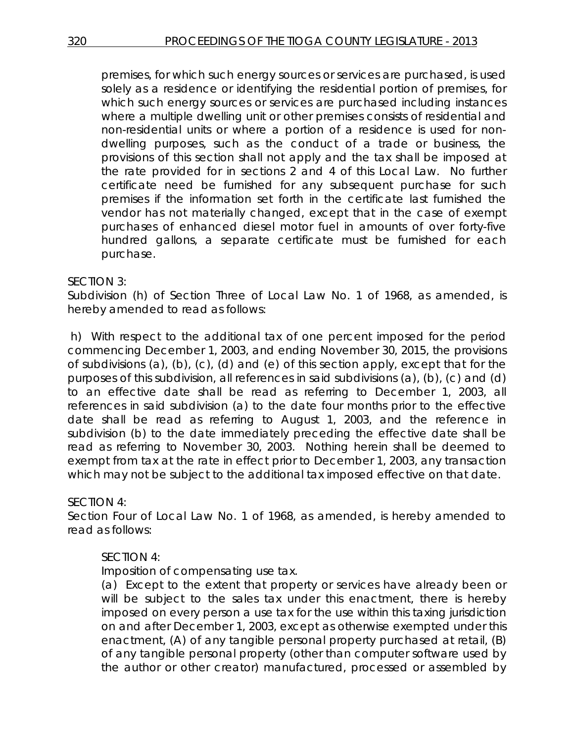premises, for which such energy sources or services are purchased, is used solely as a residence or identifying the residential portion of premises, for which such energy sources or services are purchased including instances where a multiple dwelling unit or other premises consists of residential and non-residential units or where a portion of a residence is used for nondwelling purposes, such as the conduct of a trade or business, the provisions of this section shall not apply and the tax shall be imposed at the rate provided for in sections 2 and 4 of this Local Law. No further certificate need be furnished for any subsequent purchase for such premises if the information set forth in the certificate last furnished the vendor has not materially changed, except that in the case of exempt purchases of enhanced diesel motor fuel in amounts of over forty-five hundred gallons, a separate certificate must be furnished for each purchase.

### SECTION 3:

Subdivision (h) of Section Three of Local Law No. 1 of 1968, as amended, is hereby amended to read as follows:

h) With respect to the additional tax of one percent imposed for the period commencing December 1, 2003, and ending November 30, 2015, the provisions of subdivisions (a), (b), (c), (d) and (e) of this section apply, except that for the purposes of this subdivision, all references in said subdivisions (a), (b), (c) and (d) to an effective date shall be read as referring to December 1, 2003, all references in said subdivision (a) to the date four months prior to the effective date shall be read as referring to August 1, 2003, and the reference in subdivision (b) to the date immediately preceding the effective date shall be read as referring to November 30, 2003. Nothing herein shall be deemed to exempt from tax at the rate in effect prior to December 1, 2003, any transaction which may not be subject to the additional tax imposed effective on that date.

# SECTION 4:

Section Four of Local Law No. 1 of 1968, as amended, is hereby amended to read as follows:

# SECTION 4:

Imposition of compensating use tax.

(a) Except to the extent that property or services have already been or will be subject to the sales tax under this enactment, there is hereby imposed on every person a use tax for the use within this taxing jurisdiction on and after December 1, 2003, except as otherwise exempted under this enactment, (A) of any tangible personal property purchased at retail, (B) of any tangible personal property (other than computer software used by the author or other creator) manufactured, processed or assembled by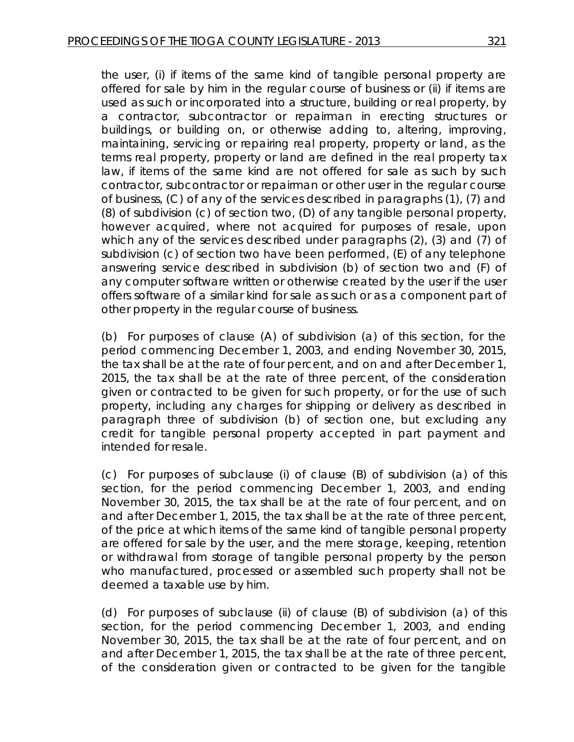the user, (i) if items of the same kind of tangible personal property are offered for sale by him in the regular course of business or (ii) if items are used as such or incorporated into a structure, building or real property, by a contractor, subcontractor or repairman in erecting structures or buildings, or building on, or otherwise adding to, altering, improving, maintaining, servicing or repairing real property, property or land, as the terms real property, property or land are defined in the real property tax law, if items of the same kind are not offered for sale as such by such contractor, subcontractor or repairman or other user in the regular course of business, (C) of any of the services described in paragraphs (1), (7) and (8) of subdivision (c) of section two, (D) of any tangible personal property, however acquired, where not acquired for purposes of resale, upon which any of the services described under paragraphs (2), (3) and (7) of subdivision (c) of section two have been performed, (E) of any telephone answering service described in subdivision (b) of section two and (F) of any computer software written or otherwise created by the user if the user offers software of a similar kind for sale as such or as a component part of other property in the regular course of business.

(b) For purposes of clause (A) of subdivision (a) of this section, for the period commencing December 1, 2003, and ending November 30, 2015, the tax shall be at the rate of four percent, and on and after December 1, 2015, the tax shall be at the rate of three percent, of the consideration given or contracted to be given for such property, or for the use of such property, including any charges for shipping or delivery as described in paragraph three of subdivision (b) of section one, but excluding any credit for tangible personal property accepted in part payment and intended for resale.

(c) For purposes of subclause (i) of clause (B) of subdivision (a) of this section, for the period commencing December 1, 2003, and ending November 30, 2015, the tax shall be at the rate of four percent, and on and after December 1, 2015, the tax shall be at the rate of three percent, of the price at which items of the same kind of tangible personal property are offered for sale by the user, and the mere storage, keeping, retention or withdrawal from storage of tangible personal property by the person who manufactured, processed or assembled such property shall not be deemed a taxable use by him.

(d) For purposes of subclause (ii) of clause (B) of subdivision (a) of this section, for the period commencing December 1, 2003, and ending November 30, 2015, the tax shall be at the rate of four percent, and on and after December 1, 2015, the tax shall be at the rate of three percent, of the consideration given or contracted to be given for the tangible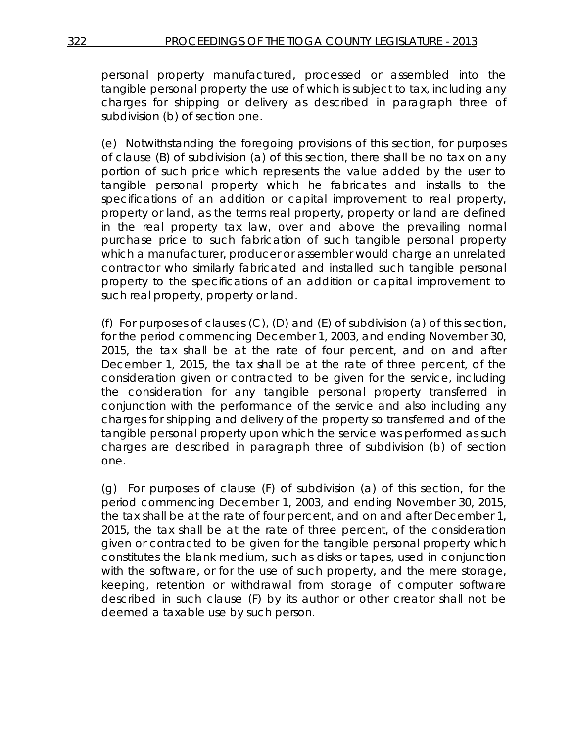personal property manufactured, processed or assembled into the tangible personal property the use of which is subject to tax, including any charges for shipping or delivery as described in paragraph three of subdivision (b) of section one.

(e) Notwithstanding the foregoing provisions of this section, for purposes of clause (B) of subdivision (a) of this section, there shall be no tax on any portion of such price which represents the value added by the user to tangible personal property which he fabricates and installs to the specifications of an addition or capital improvement to real property, property or land, as the terms real property, property or land are defined in the real property tax law, over and above the prevailing normal purchase price to such fabrication of such tangible personal property which a manufacturer, producer or assembler would charge an unrelated contractor who similarly fabricated and installed such tangible personal property to the specifications of an addition or capital improvement to such real property, property or land.

(f) For purposes of clauses (C), (D) and (E) of subdivision (a) of this section, for the period commencing December 1, 2003, and ending November 30, 2015, the tax shall be at the rate of four percent, and on and after December 1, 2015, the tax shall be at the rate of three percent, of the consideration given or contracted to be given for the service, including the consideration for any tangible personal property transferred in conjunction with the performance of the service and also including any charges for shipping and delivery of the property so transferred and of the tangible personal property upon which the service was performed as such charges are described in paragraph three of subdivision (b) of section one.

(g) For purposes of clause (F) of subdivision (a) of this section, for the period commencing December 1, 2003, and ending November 30, 2015, the tax shall be at the rate of four percent, and on and after December 1, 2015, the tax shall be at the rate of three percent, of the consideration given or contracted to be given for the tangible personal property which constitutes the blank medium, such as disks or tapes, used in conjunction with the software, or for the use of such property, and the mere storage, keeping, retention or withdrawal from storage of computer software described in such clause (F) by its author or other creator shall not be deemed a taxable use by such person.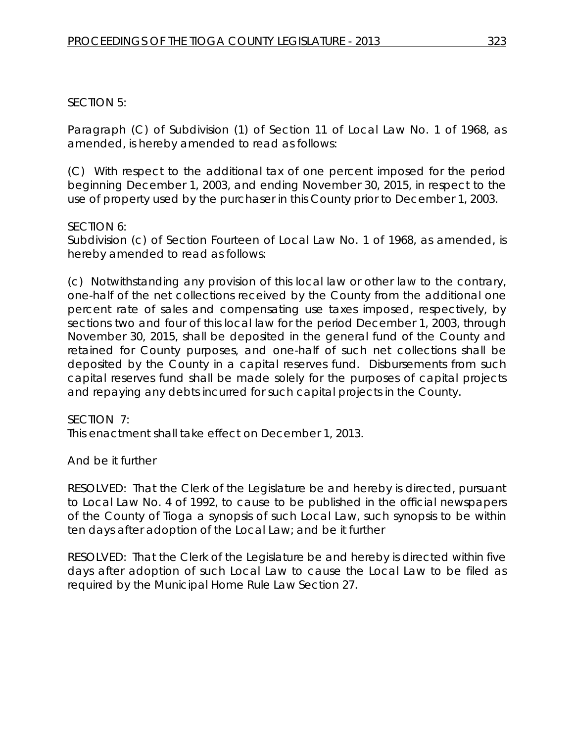# SECTION 5:

Paragraph (C) of Subdivision (1) of Section 11 of Local Law No. 1 of 1968, as amended, is hereby amended to read as follows:

(C) With respect to the additional tax of one percent imposed for the period beginning December 1, 2003, and ending November 30, 2015, in respect to the use of property used by the purchaser in this County prior to December 1, 2003.

# SECTION 6:

Subdivision (c) of Section Fourteen of Local Law No. 1 of 1968, as amended, is hereby amended to read as follows:

(c) Notwithstanding any provision of this local law or other law to the contrary, one-half of the net collections received by the County from the additional one percent rate of sales and compensating use taxes imposed, respectively, by sections two and four of this local law for the period December 1, 2003, through November 30, 2015, shall be deposited in the general fund of the County and retained for County purposes, and one-half of such net collections shall be deposited by the County in a capital reserves fund. Disbursements from such capital reserves fund shall be made solely for the purposes of capital projects and repaying any debts incurred for such capital projects in the County.

# SECTION 7:

This enactment shall take effect on December 1, 2013.

# And be it further

RESOLVED: That the Clerk of the Legislature be and hereby is directed, pursuant to Local Law No. 4 of 1992, to cause to be published in the official newspapers of the County of Tioga a synopsis of such Local Law, such synopsis to be within ten days after adoption of the Local Law; and be it further

RESOLVED: That the Clerk of the Legislature be and hereby is directed within five days after adoption of such Local Law to cause the Local Law to be filed as required by the Municipal Home Rule Law Section 27.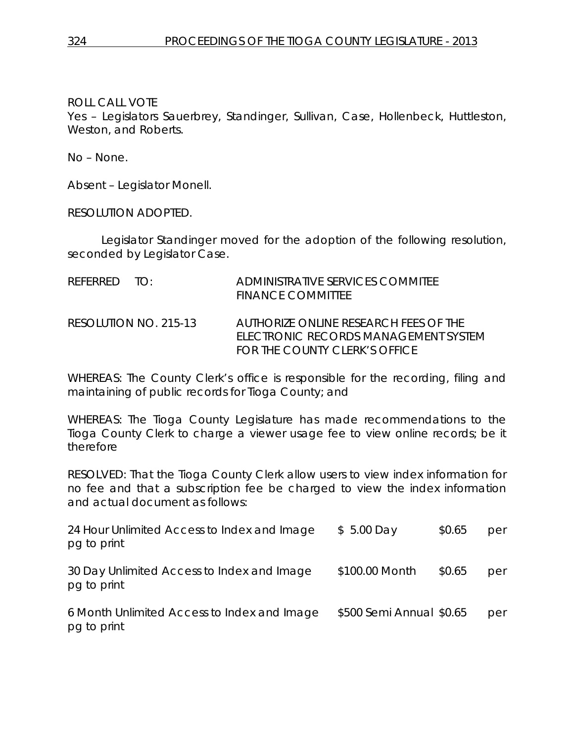ROLL CALL VOTE

Yes – Legislators Sauerbrey, Standinger, Sullivan, Case, Hollenbeck, Huttleston, Weston, and Roberts.

No – None.

Absent – Legislator Monell.

RESOLUTION ADOPTED.

Legislator Standinger moved for the adoption of the following resolution, seconded by Legislator Case.

| REFERRED TO:          | ADMINISTRATIVE SERVICES COMMITEE<br><b>FINANCE COMMITTEE</b>                                                   |
|-----------------------|----------------------------------------------------------------------------------------------------------------|
| RESOLUTION NO. 215-13 | AUTHORIZE ONLINE RESEARCH FEES OF THE<br>ELECTRONIC RECORDS MANAGEMENT SYSTEM<br>FOR THE COUNTY CLERK'S OFFICE |

WHEREAS: The County Clerk's office is responsible for the recording, filing and maintaining of public records for Tioga County; and

WHEREAS: The Tioga County Legislature has made recommendations to the Tioga County Clerk to charge a viewer usage fee to view online records; be it therefore

RESOLVED: That the Tioga County Clerk allow users to view index information for no fee and that a subscription fee be charged to view the index information and actual document as follows:

| 24 Hour Unlimited Access to Index and Image<br>pg to print | $$5.00$ Day              | \$0.65 | per |
|------------------------------------------------------------|--------------------------|--------|-----|
| 30 Day Unlimited Access to Index and Image<br>pg to print  | \$100.00 Month           | \$0.65 | per |
| 6 Month Unlimited Access to Index and Image<br>pg to print | \$500 Semi Annual \$0.65 |        | per |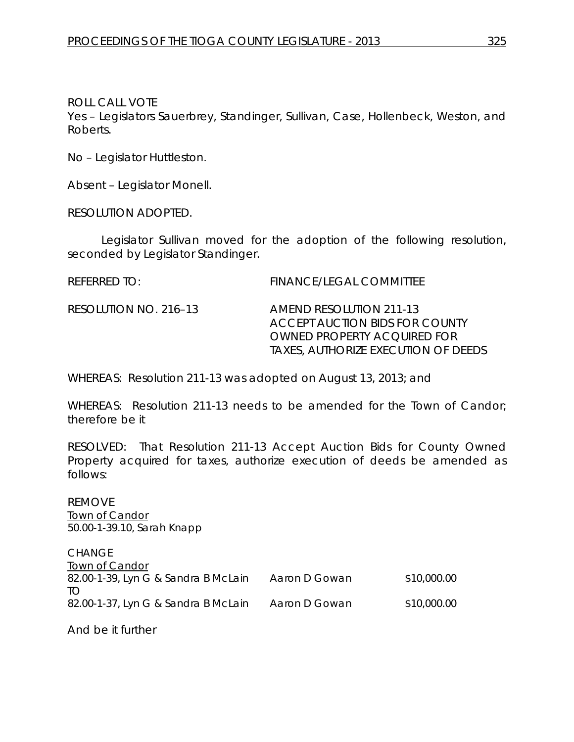ROLL CALL VOTE

Yes – Legislators Sauerbrey, Standinger, Sullivan, Case, Hollenbeck, Weston, and Roberts.

No – Legislator Huttleston.

Absent – Legislator Monell.

RESOLUTION ADOPTED.

Legislator Sullivan moved for the adoption of the following resolution, seconded by Legislator Standinger.

REFERRED TO: FINANCE/LEGAL COMMITTEE

RESOLUTION NO. 216–13 *AMEND RESOLUTION 211-13 ACCEPT AUCTION BIDS FOR COUNTY OWNED PROPERTY ACQUIRED FOR TAXES, AUTHORIZE EXECUTION OF DEEDS*

WHEREAS: Resolution 211-13 was adopted on August 13, 2013; and

WHEREAS: Resolution 211-13 needs to be amended for the Town of Candor; therefore be it

RESOLVED: That Resolution 211-13 Accept Auction Bids for County Owned Property acquired for taxes, authorize execution of deeds be amended as follows:

REMOVE Town of Candor 50.00-1-39.10, Sarah Knapp

**CHANGE** Town of Candor 82.00-1-39, Lyn G & Sandra B McLain Aaron D Gowan \$10,000.00 TO 82.00-1-37, Lyn G & Sandra B McLain Aaron D Gowan \$10,000.00

And be it further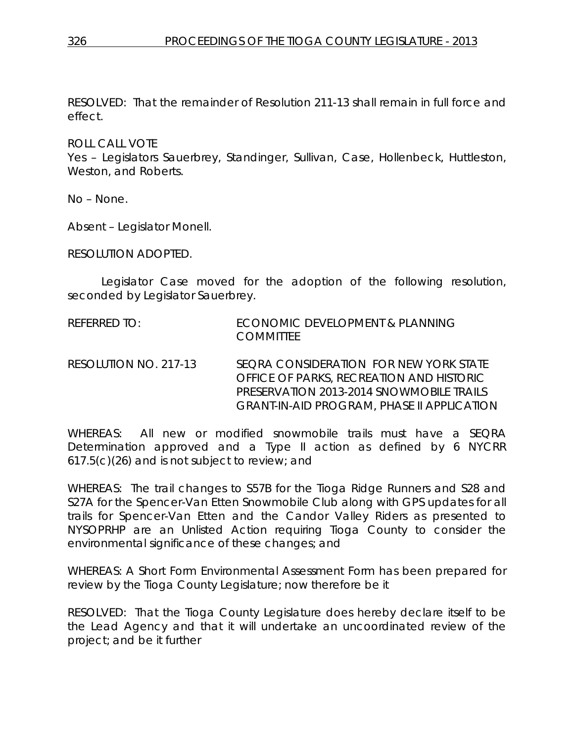RESOLVED: That the remainder of Resolution 211-13 shall remain in full force and effect.

ROLL CALL VOTE

Yes – Legislators Sauerbrey, Standinger, Sullivan, Case, Hollenbeck, Huttleston, Weston, and Roberts.

No – None.

Absent – Legislator Monell.

RESOLUTION ADOPTED.

Legislator Case moved for the adoption of the following resolution, seconded by Legislator Sauerbrey.

- REFERRED TO: ECONOMIC DEVELOPMENT & PLANNING **COMMITTEE**
- RESOLUTION NO. 217-13 *SEQRA CONSIDERATION FOR NEW YORK STATE OFFICE OF PARKS, RECREATION AND HISTORIC PRESERVATION 2013-2014 SNOWMOBILE TRAILS GRANT-IN-AID PROGRAM, PHASE II APPLICATION*

WHEREAS: All new or modified snowmobile trails must have a SEQRA Determination approved and a Type II action as defined by 6 NYCRR 617.5(c)(26) and is not subject to review; and

WHEREAS: The trail changes to S57B for the Tioga Ridge Runners and S28 and S27A for the Spencer-Van Etten Snowmobile Club along with GPS updates for all trails for Spencer-Van Etten and the Candor Valley Riders as presented to NYSOPRHP are an Unlisted Action requiring Tioga County to consider the environmental significance of these changes; and

WHEREAS: A Short Form Environmental Assessment Form has been prepared for review by the Tioga County Legislature; now therefore be it

RESOLVED: That the Tioga County Legislature does hereby declare itself to be the Lead Agency and that it will undertake an uncoordinated review of the project; and be it further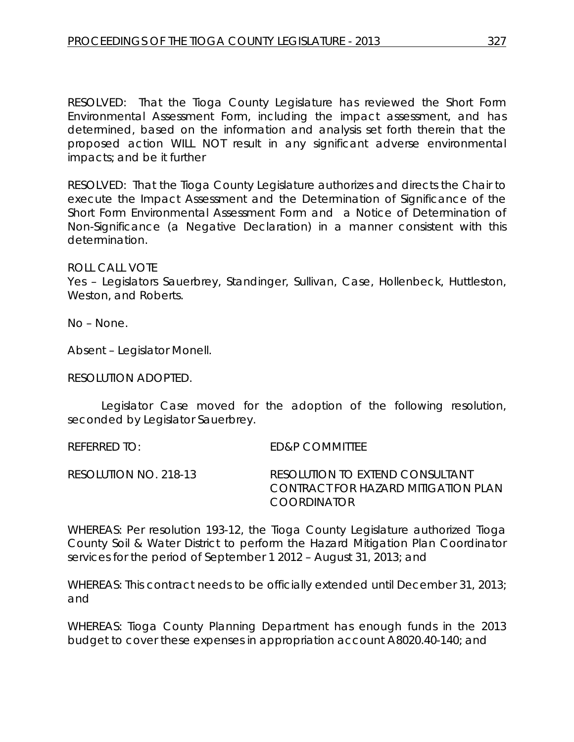RESOLVED: That the Tioga County Legislature has reviewed the Short Form Environmental Assessment Form, including the impact assessment, and has determined, based on the information and analysis set forth therein that the proposed action WILL NOT result in any significant adverse environmental impacts; and be it further

RESOLVED: That the Tioga County Legislature authorizes and directs the Chair to execute the Impact Assessment and the Determination of Significance of the Short Form Environmental Assessment Form and a Notice of Determination of Non-Significance (a Negative Declaration) in a manner consistent with this determination.

### ROLL CALL VOTE

Yes – Legislators Sauerbrey, Standinger, Sullivan, Case, Hollenbeck, Huttleston, Weston, and Roberts.

No – None.

Absent – Legislator Monell.

RESOLUTION ADOPTED.

Legislator Case moved for the adoption of the following resolution, seconded by Legislator Sauerbrey.

REFERRED TO: ED&P COMMITTEE

RESOLUTION NO. 218-13 *RESOLUTION TO EXTEND CONSULTANT CONTRACT FOR HAZARD MITIGATION PLAN COORDINATOR*

WHEREAS: Per resolution 193-12, the Tioga County Legislature authorized Tioga County Soil & Water District to perform the Hazard Mitigation Plan Coordinator services for the period of September 1 2012 – August 31, 2013; and

WHEREAS: This contract needs to be officially extended until December 31, 2013; and

WHEREAS: Tioga County Planning Department has enough funds in the 2013 budget to cover these expenses in appropriation account A8020.40-140; and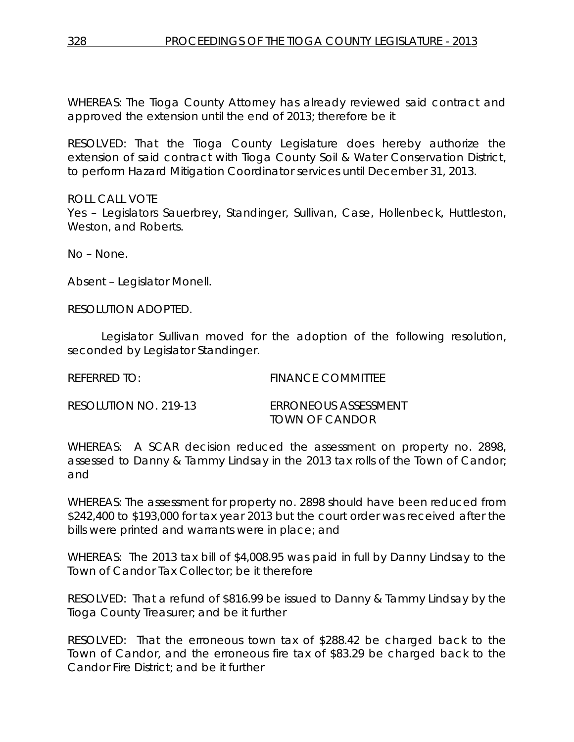WHEREAS: The Tioga County Attorney has already reviewed said contract and approved the extension until the end of 2013; therefore be it

RESOLVED: That the Tioga County Legislature does hereby authorize the extension of said contract with Tioga County Soil & Water Conservation District, to perform Hazard Mitigation Coordinator services until December 31, 2013.

ROLL CALL VOTE Yes – Legislators Sauerbrey, Standinger, Sullivan, Case, Hollenbeck, Huttleston, Weston, and Roberts.

No – None.

Absent – Legislator Monell.

RESOLUTION ADOPTED.

Legislator Sullivan moved for the adoption of the following resolution, seconded by Legislator Standinger.

REFERRED TO: FINANCE COMMITTEE

| RESOLUTION NO. 219-13 | ERRONEOUS ASSESSMENT |
|-----------------------|----------------------|
|                       | TOWN OF CANDOR       |

WHEREAS: A SCAR decision reduced the assessment on property no. 2898, assessed to Danny & Tammy Lindsay in the 2013 tax rolls of the Town of Candor; and

WHEREAS: The assessment for property no. 2898 should have been reduced from \$242,400 to \$193,000 for tax year 2013 but the court order was received after the bills were printed and warrants were in place; and

WHEREAS: The 2013 tax bill of \$4,008.95 was paid in full by Danny Lindsay to the Town of Candor Tax Collector; be it therefore

RESOLVED: That a refund of \$816.99 be issued to Danny & Tammy Lindsay by the Tioga County Treasurer; and be it further

RESOLVED: That the erroneous town tax of \$288.42 be charged back to the Town of Candor, and the erroneous fire tax of \$83.29 be charged back to the Candor Fire District; and be it further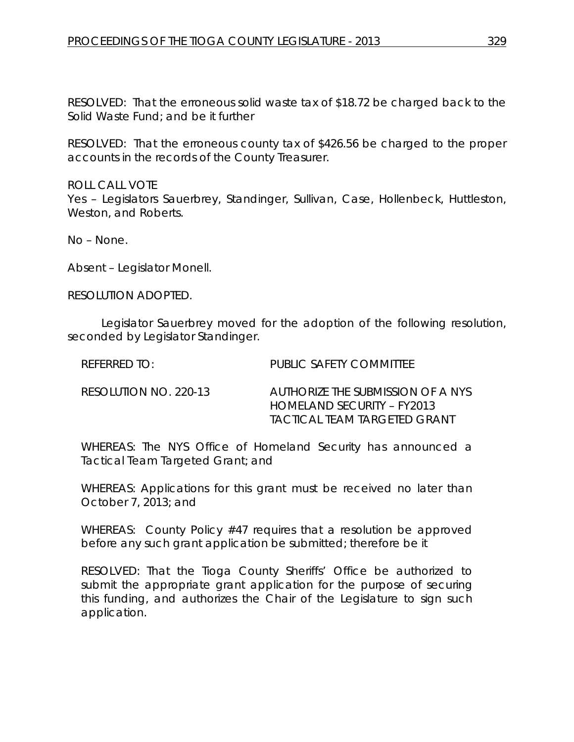RESOLVED: That the erroneous solid waste tax of \$18.72 be charged back to the Solid Waste Fund; and be it further

RESOLVED: That the erroneous county tax of \$426.56 be charged to the proper accounts in the records of the County Treasurer.

ROLL CALL VOTE Yes – Legislators Sauerbrey, Standinger, Sullivan, Case, Hollenbeck, Huttleston, Weston, and Roberts.

No – None.

Absent – Legislator Monell.

RESOLUTION ADOPTED.

Legislator Sauerbrey moved for the adoption of the following resolution, seconded by Legislator Standinger.

| $R$ FFFRRFD TO:       | PUBLIC SAFETY COMMITTEE                                                                         |
|-----------------------|-------------------------------------------------------------------------------------------------|
| RESOLUTION NO. 220-13 | AUTHORIZE THE SUBMISSION OF A NYS<br>HOMELAND SECURITY – FY2013<br>TACTICAL TEAM TARGETED GRANT |

WHEREAS: The NYS Office of Homeland Security has announced a Tactical Team Targeted Grant; and

WHEREAS: Applications for this grant must be received no later than October 7, 2013; and

WHEREAS: County Policy #47 requires that a resolution be approved before any such grant application be submitted; therefore be it

RESOLVED: That the Tioga County Sheriffs' Office be authorized to submit the appropriate grant application for the purpose of securing this funding, and authorizes the Chair of the Legislature to sign such application.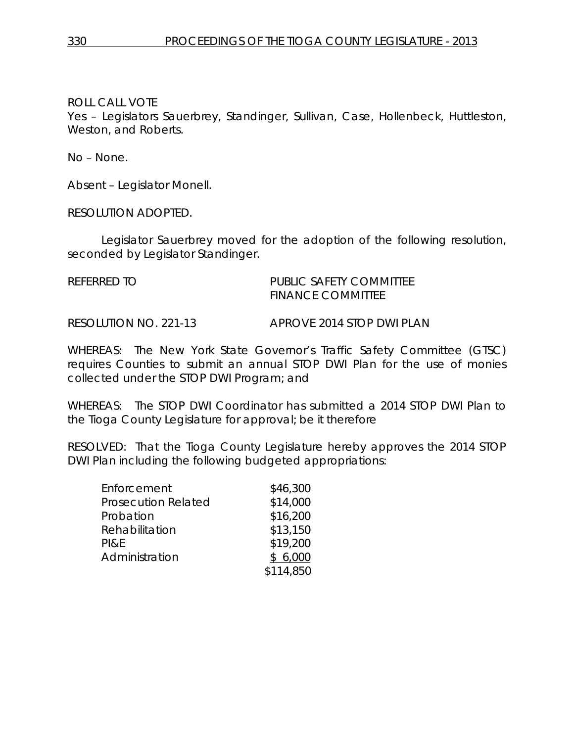ROLL CALL VOTE

Yes – Legislators Sauerbrey, Standinger, Sullivan, Case, Hollenbeck, Huttleston, Weston, and Roberts.

No – None.

Absent – Legislator Monell.

RESOLUTION ADOPTED.

Legislator Sauerbrey moved for the adoption of the following resolution, seconded by Legislator Standinger.

REFERRED TO **PUBLIC SAFETY COMMITTEE** FINANCE COMMITTEE

RESOLUTION NO. 221-13 *APROVE 2014 STOP DWI PLAN*

WHEREAS: The New York State Governor's Traffic Safety Committee (GTSC) requires Counties to submit an annual STOP DWI Plan for the use of monies collected under the STOP DWI Program; and

WHEREAS: The STOP DWI Coordinator has submitted a 2014 STOP DWI Plan to the Tioga County Legislature for approval; be it therefore

RESOLVED: That the Tioga County Legislature hereby approves the 2014 STOP DWI Plan including the following budgeted appropriations:

| Enforcement                | \$46,300  |
|----------------------------|-----------|
| <b>Prosecution Related</b> | \$14,000  |
| Probation                  | \$16,200  |
| Rehabilitation             | \$13,150  |
| PI&E                       | \$19,200  |
| Administration             | \$6,000   |
|                            | \$114,850 |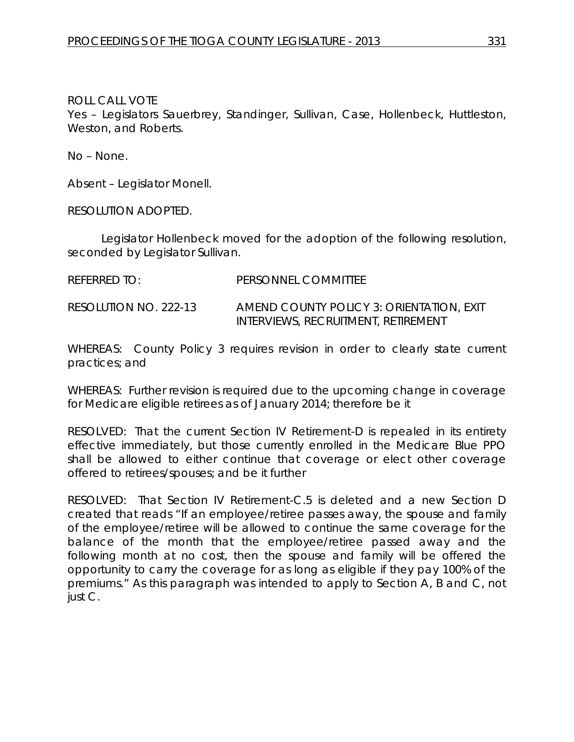ROLL CALL VOTE Yes – Legislators Sauerbrey, Standinger, Sullivan, Case, Hollenbeck, Huttleston, Weston, and Roberts.

No – None.

Absent – Legislator Monell.

RESOLUTION ADOPTED.

Legislator Hollenbeck moved for the adoption of the following resolution, seconded by Legislator Sullivan.

REFERRED TO: PERSONNEL COMMITTEE

RESOLUTION NO. 222-13 *AMEND COUNTY POLICY 3: ORIENTATION, EXIT INTERVIEWS, RECRUITMENT, RETIREMENT*

WHEREAS: County Policy 3 requires revision in order to clearly state current practices; and

WHEREAS: Further revision is required due to the upcoming change in coverage for Medicare eligible retirees as of January 2014; therefore be it

RESOLVED: That the current Section IV Retirement-D is repealed in its entirety effective immediately, but those currently enrolled in the Medicare Blue PPO shall be allowed to either continue that coverage or elect other coverage offered to retirees/spouses; and be it further

RESOLVED: That Section IV Retirement-C.5 is deleted and a new Section D created that reads "If an employee/retiree passes away, the spouse and family of the employee/retiree will be allowed to continue the same coverage for the balance of the month that the employee/retiree passed away and the following month at no cost, then the spouse and family will be offered the opportunity to carry the coverage for as long as eligible if they pay 100% of the premiums." As this paragraph was intended to apply to Section A, B and C, not just C.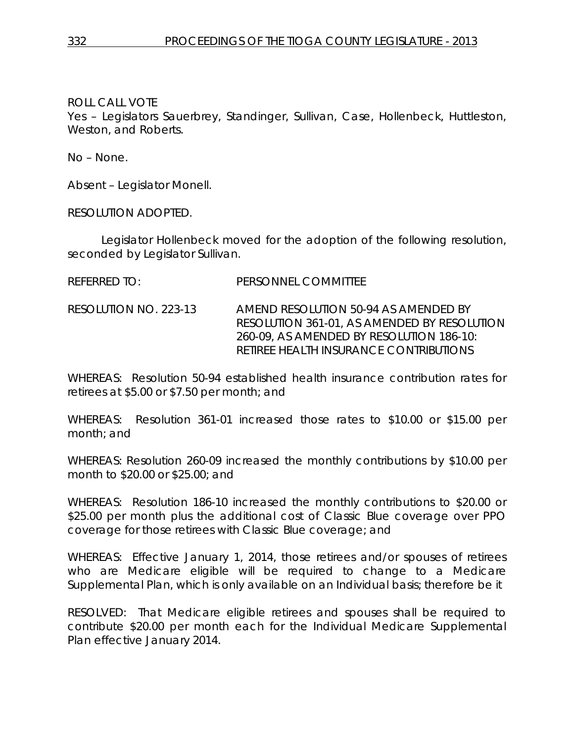ROLL CALL VOTE

Yes – Legislators Sauerbrey, Standinger, Sullivan, Case, Hollenbeck, Huttleston, Weston, and Roberts.

No – None.

Absent – Legislator Monell.

RESOLUTION ADOPTED.

Legislator Hollenbeck moved for the adoption of the following resolution, seconded by Legislator Sullivan.

REFERRED TO: PERSONNEL COMMITTEE

RESOLUTION NO. 223-13 *AMEND RESOLUTION 50-94 AS AMENDED BY RESOLUTION 361-01, AS AMENDED BY RESOLUTION 260-09, AS AMENDED BY RESOLUTION 186-10: RETIREE HEALTH INSURANCE CONTRIBUTIONS*

WHEREAS: Resolution 50-94 established health insurance contribution rates for retirees at \$5.00 or \$7.50 per month; and

WHEREAS: Resolution 361-01 increased those rates to \$10.00 or \$15.00 per month; and

WHEREAS: Resolution 260-09 increased the monthly contributions by \$10.00 per month to \$20.00 or \$25.00; and

WHEREAS: Resolution 186-10 increased the monthly contributions to \$20.00 or \$25.00 per month plus the additional cost of Classic Blue coverage over PPO coverage for those retirees with Classic Blue coverage; and

WHEREAS: Effective January 1, 2014, those retirees and/or spouses of retirees who are Medicare eligible will be required to change to a Medicare Supplemental Plan, which is only available on an Individual basis; therefore be it

RESOLVED: That Medicare eligible retirees and spouses shall be required to contribute \$20.00 per month each for the Individual Medicare Supplemental Plan effective January 2014.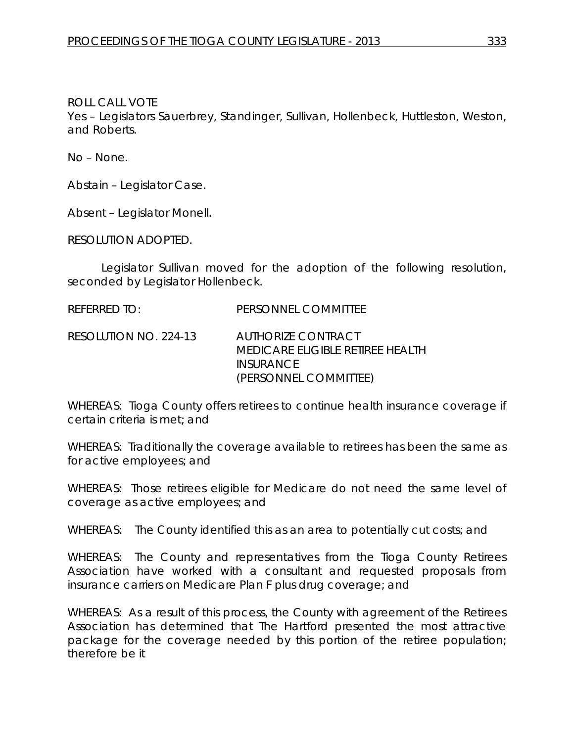ROLL CALL VOTE Yes – Legislators Sauerbrey, Standinger, Sullivan, Hollenbeck, Huttleston, Weston, and Roberts.

No – None.

Abstain – Legislator Case.

Absent – Legislator Monell.

RESOLUTION ADOPTED.

Legislator Sullivan moved for the adoption of the following resolution, seconded by Legislator Hollenbeck.

REFERRED TO: PERSONNEL COMMITTEE

RESOLUTION NO. 224-13 *AUTHORIZE CONTRACT MEDICARE ELIGIBLE RETIREE HEALTH INSURANCE (PERSONNEL COMMITTEE)*

WHEREAS: Tioga County offers retirees to continue health insurance coverage if certain criteria is met; and

WHEREAS: Traditionally the coverage available to retirees has been the same as for active employees; and

WHEREAS: Those retirees eligible for Medicare do not need the same level of coverage as active employees; and

WHEREAS: The County identified this as an area to potentially cut costs; and

WHEREAS: The County and representatives from the Tioga County Retirees Association have worked with a consultant and requested proposals from insurance carriers on Medicare Plan F plus drug coverage; and

WHEREAS: As a result of this process, the County with agreement of the Retirees Association has determined that The Hartford presented the most attractive package for the coverage needed by this portion of the retiree population; therefore be it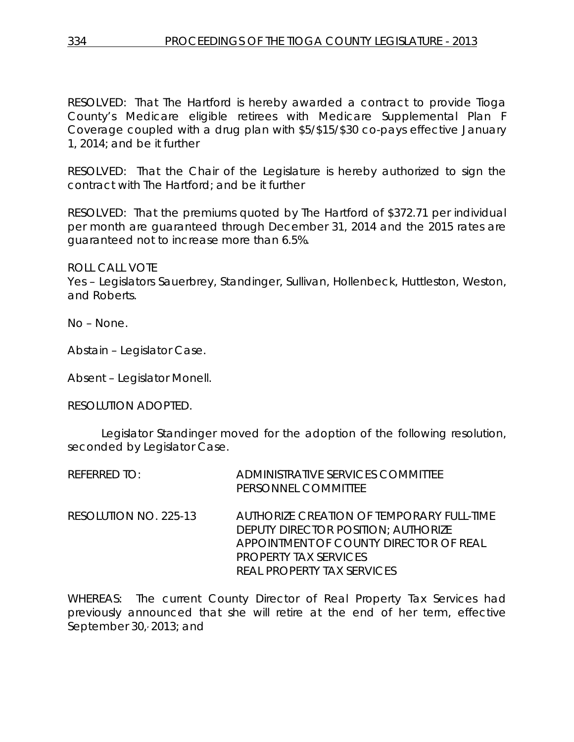RESOLVED: That The Hartford is hereby awarded a contract to provide Tioga County's Medicare eligible retirees with Medicare Supplemental Plan F Coverage coupled with a drug plan with \$5/\$15/\$30 co-pays effective January 1, 2014; and be it further

RESOLVED: That the Chair of the Legislature is hereby authorized to sign the contract with The Hartford; and be it further

RESOLVED: That the premiums quoted by The Hartford of \$372.71 per individual per month are guaranteed through December 31, 2014 and the 2015 rates are guaranteed not to increase more than 6.5%.

ROLL CALL VOTE

Yes – Legislators Sauerbrey, Standinger, Sullivan, Hollenbeck, Huttleston, Weston, and Roberts.

No – None.

Abstain – Legislator Case.

Absent – Legislator Monell.

RESOLUTION ADOPTED.

Legislator Standinger moved for the adoption of the following resolution, seconded by Legislator Case.

| <b>REFERRED TO:</b>   | ADMINISTRATIVE SERVICES COMMITTEE<br>PERSONNEL COMMITTEE                                                                                                                                        |
|-----------------------|-------------------------------------------------------------------------------------------------------------------------------------------------------------------------------------------------|
| RESOLUTION NO. 225-13 | AUTHORIZE CREATION OF TEMPORARY FULL-TIME<br><b>DEPUTY DIRECTOR POSITION: AUTHORIZE</b><br>APPOINTMENT OF COUNTY DIRECTOR OF REAL<br>PROPERTY TAX SERVICES<br><b>REAL PROPERTY TAX SERVICES</b> |

WHEREAS: The current County Director of Real Property Tax Services had previously announced that she will retire at the end of her term, effective September 30, 2013; and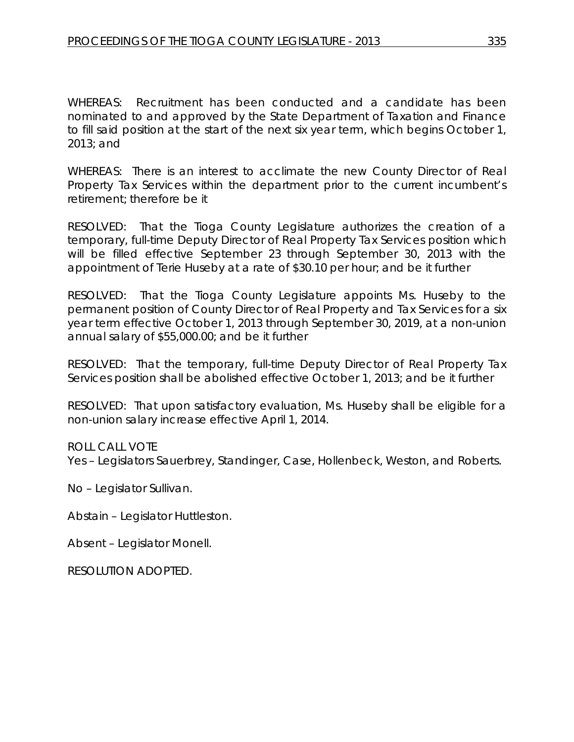WHEREAS: Recruitment has been conducted and a candidate has been nominated to and approved by the State Department of Taxation and Finance to fill said position at the start of the next six year term, which begins October 1, 2013; and

WHEREAS: There is an interest to acclimate the new County Director of Real Property Tax Services within the department prior to the current incumbent's retirement; therefore be it

RESOLVED: That the Tioga County Legislature authorizes the creation of a temporary, full-time Deputy Director of Real Property Tax Services position which will be filled effective September 23 through September 30, 2013 with the appointment of Terie Huseby at a rate of \$30.10 per hour; and be it further

RESOLVED: That the Tioga County Legislature appoints Ms. Huseby to the permanent position of County Director of Real Property and Tax Services for a six year term effective October 1, 2013 through September 30, 2019, at a non-union annual salary of \$55,000.00; and be it further

RESOLVED: That the temporary, full-time Deputy Director of Real Property Tax Services position shall be abolished effective October 1, 2013; and be it further

RESOLVED: That upon satisfactory evaluation, Ms. Huseby shall be eligible for a non-union salary increase effective April 1, 2014.

ROLL CALL VOTE

Yes – Legislators Sauerbrey, Standinger, Case, Hollenbeck, Weston, and Roberts.

No – Legislator Sullivan.

Abstain – Legislator Huttleston.

Absent – Legislator Monell.

RESOLUTION ADOPTED.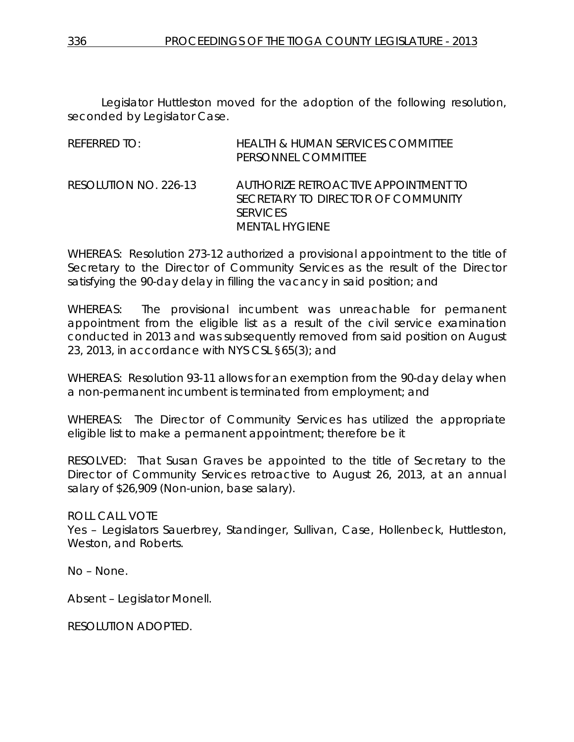Legislator Huttleston moved for the adoption of the following resolution, seconded by Legislator Case.

| REFERRED TO:          | <b>HEALTH &amp; HUMAN SERVICES COMMITTEE</b><br>PERSONNEL COMMITTEE                                             |
|-----------------------|-----------------------------------------------------------------------------------------------------------------|
| RESOLUTION NO. 226-13 | AUTHORIZE RETROACTIVE APPOINTMENT TO<br>SECRETARY TO DIRECTOR OF COMMUNITY<br><b>SERVICES</b><br>MENTAL HYGIENE |

WHEREAS: Resolution 273-12 authorized a provisional appointment to the title of Secretary to the Director of Community Services as the result of the Director satisfying the 90-day delay in filling the vacancy in said position; and

WHEREAS: The provisional incumbent was unreachable for permanent appointment from the eligible list as a result of the civil service examination conducted in 2013 and was subsequently removed from said position on August 23, 2013, in accordance with NYS CSL §65(3); and

WHEREAS: Resolution 93-11 allows for an exemption from the 90-day delay when a non-permanent incumbent is terminated from employment; and

WHEREAS: The Director of Community Services has utilized the appropriate eligible list to make a permanent appointment; therefore be it

RESOLVED: That Susan Graves be appointed to the title of Secretary to the Director of Community Services retroactive to August 26, 2013, at an annual salary of \$26,909 (Non-union, base salary).

ROLL CALL VOTE

Yes – Legislators Sauerbrey, Standinger, Sullivan, Case, Hollenbeck, Huttleston, Weston, and Roberts.

No – None.

Absent – Legislator Monell.

RESOLUTION ADOPTED.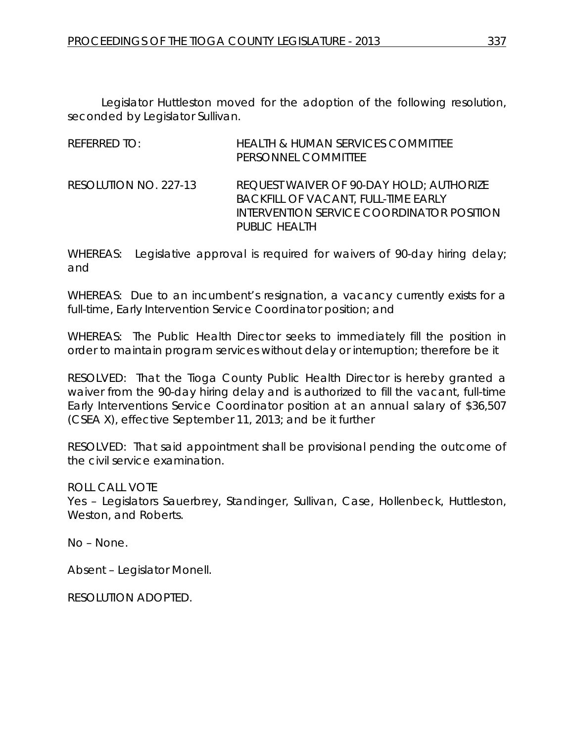Legislator Huttleston moved for the adoption of the following resolution, seconded by Legislator Sullivan.

| REFERRED TO:          | <b>HEALTH &amp; HUMAN SERVICES COMMITTEE</b><br>PERSONNEL COMMITTEE                                                                                  |
|-----------------------|------------------------------------------------------------------------------------------------------------------------------------------------------|
| RESOLUTION NO. 227-13 | REQUEST WAIVER OF 90-DAY HOLD; AUTHORIZE<br><b>BACKFILL OF VACANT, FULL-TIME EARLY</b><br>INTERVENTION SERVICE COORDINATOR POSITION<br>PUBLIC HEALTH |

WHEREAS: Legislative approval is required for waivers of 90-day hiring delay; and

WHEREAS: Due to an incumbent's resignation, a vacancy currently exists for a full-time, Early Intervention Service Coordinator position; and

WHEREAS: The Public Health Director seeks to immediately fill the position in order to maintain program services without delay or interruption; therefore be it

RESOLVED: That the Tioga County Public Health Director is hereby granted a waiver from the 90-day hiring delay and is authorized to fill the vacant, full-time Early Interventions Service Coordinator position at an annual salary of \$36,507 (CSEA X), effective September 11, 2013; and be it further

RESOLVED: That said appointment shall be provisional pending the outcome of the civil service examination.

ROLL CALL VOTE

Yes – Legislators Sauerbrey, Standinger, Sullivan, Case, Hollenbeck, Huttleston, Weston, and Roberts.

No – None.

Absent – Legislator Monell.

RESOLUTION ADOPTED.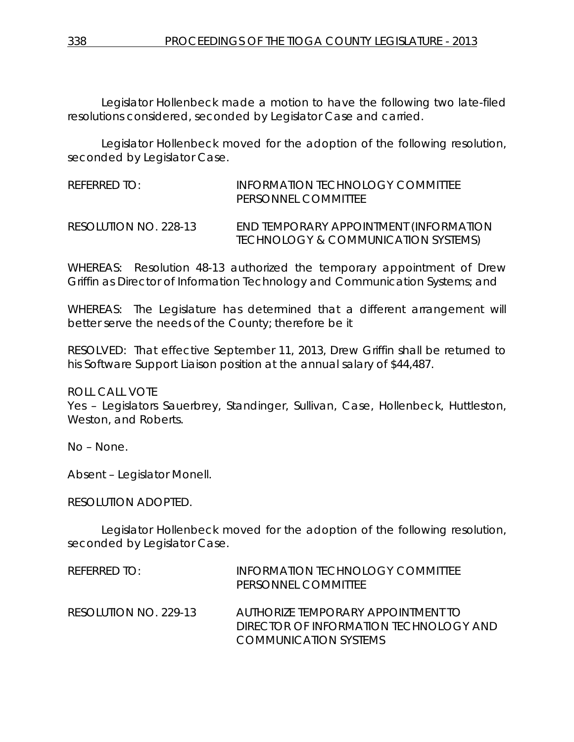Legislator Hollenbeck made a motion to have the following two late-filed resolutions considered, seconded by Legislator Case and carried.

Legislator Hollenbeck moved for the adoption of the following resolution, seconded by Legislator Case.

REFERRED TO: INFORMATION TECHNOLOGY COMMITTEE PERSONNEL COMMITTEE RESOLUTION NO. 228-13 *END TEMPORARY APPOINTMENT (INFORMATION TECHNOLOGY & COMMUNICATION SYSTEMS)*

WHEREAS: Resolution 48-13 authorized the temporary appointment of Drew Griffin as Director of Information Technology and Communication Systems; and

WHEREAS: The Legislature has determined that a different arrangement will better serve the needs of the County; therefore be it

RESOLVED: That effective September 11, 2013, Drew Griffin shall be returned to his Software Support Liaison position at the annual salary of \$44,487.

ROLL CALL VOTE

Yes – Legislators Sauerbrey, Standinger, Sullivan, Case, Hollenbeck, Huttleston, Weston, and Roberts.

No – None.

Absent – Legislator Monell.

RESOLUTION ADOPTED.

Legislator Hollenbeck moved for the adoption of the following resolution, seconded by Legislator Case.

| $R$ FFFRRFD TO:       | INFORMATION TECHNOLOGY COMMITTEE<br>PERSONNEL COMMITTEE                                               |
|-----------------------|-------------------------------------------------------------------------------------------------------|
| RESOLUTION NO. 229-13 | AUTHORIZE TEMPORARY APPOINTMENT TO<br>DIRECTOR OF INFORMATION TECHNOLOGY AND<br>COMMUNICATION SYSTEMS |